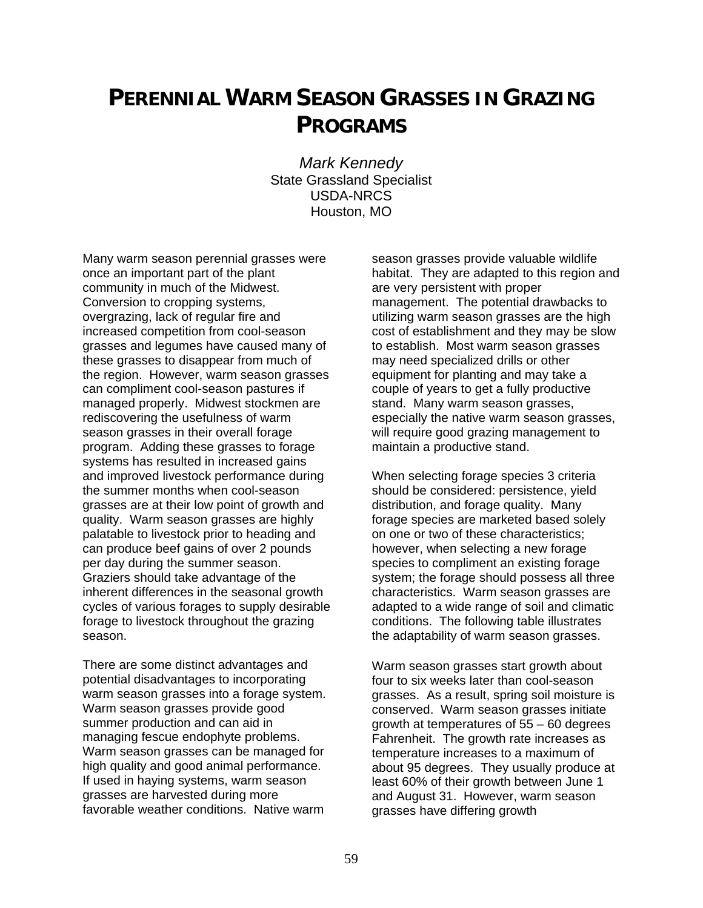## **PERENNIAL WARM SEASON GRASSES IN GRAZING PROGRAMS**

*Mark Kennedy*  State Grassland Specialist USDA-NRCS Houston, MO

Many warm season perennial grasses were once an important part of the plant community in much of the Midwest. Conversion to cropping systems, overgrazing, lack of regular fire and increased competition from cool-season grasses and legumes have caused many of these grasses to disappear from much of the region. However, warm season grasses can compliment cool-season pastures if managed properly. Midwest stockmen are rediscovering the usefulness of warm season grasses in their overall forage program. Adding these grasses to forage systems has resulted in increased gains and improved livestock performance during the summer months when cool-season grasses are at their low point of growth and quality. Warm season grasses are highly palatable to livestock prior to heading and can produce beef gains of over 2 pounds per day during the summer season. Graziers should take advantage of the inherent differences in the seasonal growth cycles of various forages to supply desirable forage to livestock throughout the grazing season.

There are some distinct advantages and potential disadvantages to incorporating warm season grasses into a forage system. Warm season grasses provide good summer production and can aid in managing fescue endophyte problems. Warm season grasses can be managed for high quality and good animal performance. If used in haying systems, warm season grasses are harvested during more favorable weather conditions. Native warm

season grasses provide valuable wildlife habitat. They are adapted to this region and are very persistent with proper management. The potential drawbacks to utilizing warm season grasses are the high cost of establishment and they may be slow to establish. Most warm season grasses may need specialized drills or other equipment for planting and may take a couple of years to get a fully productive stand. Many warm season grasses, especially the native warm season grasses, will require good grazing management to maintain a productive stand.

When selecting forage species 3 criteria should be considered: persistence, yield distribution, and forage quality. Many forage species are marketed based solely on one or two of these characteristics; however, when selecting a new forage species to compliment an existing forage system; the forage should possess all three characteristics. Warm season grasses are adapted to a wide range of soil and climatic conditions. The following table illustrates the adaptability of warm season grasses.

Warm season grasses start growth about four to six weeks later than cool-season grasses. As a result, spring soil moisture is conserved. Warm season grasses initiate growth at temperatures of 55 – 60 degrees Fahrenheit. The growth rate increases as temperature increases to a maximum of about 95 degrees. They usually produce at least 60% of their growth between June 1 and August 31. However, warm season grasses have differing growth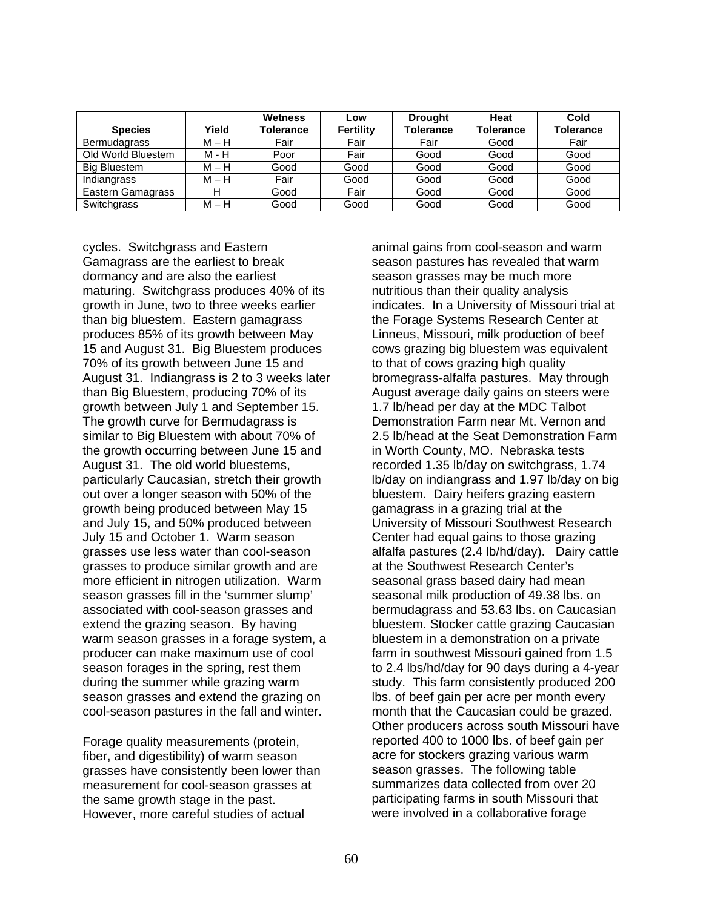| <b>Species</b>      | Yield   | Wetness<br>Tolerance | Low<br><b>Fertility</b> | <b>Drought</b><br><b>Tolerance</b> | Heat<br>Tolerance | Cold<br>Tolerance |
|---------------------|---------|----------------------|-------------------------|------------------------------------|-------------------|-------------------|
| <b>Bermudagrass</b> | $M-H$   | Fair                 | Fair                    | Fair                               | Good              | Fair              |
| Old World Bluestem  | M - H   | Poor                 | Fair                    | Good                               | Good              | Good              |
| <b>Big Bluestem</b> | $M-H$   | Good                 | Good                    | Good                               | Good              | Good              |
| Indiangrass         | $M - H$ | Fair                 | Good                    | Good                               | Good              | Good              |
| Eastern Gamagrass   |         | Good                 | Fair                    | Good                               | Good              | Good              |
| Switchgrass         | M – H   | Good                 | Good                    | Good                               | Good              | Good              |

cycles. Switchgrass and Eastern Gamagrass are the earliest to break dormancy and are also the earliest maturing. Switchgrass produces 40% of its growth in June, two to three weeks earlier than big bluestem. Eastern gamagrass produces 85% of its growth between May 15 and August 31. Big Bluestem produces 70% of its growth between June 15 and August 31. Indiangrass is 2 to 3 weeks later than Big Bluestem, producing 70% of its growth between July 1 and September 15. The growth curve for Bermudagrass is similar to Big Bluestem with about 70% of the growth occurring between June 15 and August 31. The old world bluestems, particularly Caucasian, stretch their growth out over a longer season with 50% of the growth being produced between May 15 and July 15, and 50% produced between July 15 and October 1. Warm season grasses use less water than cool-season grasses to produce similar growth and are more efficient in nitrogen utilization. Warm season grasses fill in the 'summer slump' associated with cool-season grasses and extend the grazing season. By having warm season grasses in a forage system, a producer can make maximum use of cool season forages in the spring, rest them during the summer while grazing warm season grasses and extend the grazing on cool-season pastures in the fall and winter.

Forage quality measurements (protein, fiber, and digestibility) of warm season grasses have consistently been lower than measurement for cool-season grasses at the same growth stage in the past. However, more careful studies of actual

animal gains from cool-season and warm season pastures has revealed that warm season grasses may be much more nutritious than their quality analysis indicates. In a University of Missouri trial at the Forage Systems Research Center at Linneus, Missouri, milk production of beef cows grazing big bluestem was equivalent to that of cows grazing high quality bromegrass-alfalfa pastures. May through August average daily gains on steers were 1.7 lb/head per day at the MDC Talbot Demonstration Farm near Mt. Vernon and 2.5 lb/head at the Seat Demonstration Farm in Worth County, MO. Nebraska tests recorded 1.35 lb/day on switchgrass, 1.74 lb/day on indiangrass and 1.97 lb/day on big bluestem. Dairy heifers grazing eastern gamagrass in a grazing trial at the University of Missouri Southwest Research Center had equal gains to those grazing alfalfa pastures (2.4 lb/hd/day). Dairy cattle at the Southwest Research Center's seasonal grass based dairy had mean seasonal milk production of 49.38 lbs. on bermudagrass and 53.63 lbs. on Caucasian bluestem. Stocker cattle grazing Caucasian bluestem in a demonstration on a private farm in southwest Missouri gained from 1.5 to 2.4 lbs/hd/day for 90 days during a 4-year study. This farm consistently produced 200 lbs. of beef gain per acre per month every month that the Caucasian could be grazed. Other producers across south Missouri have reported 400 to 1000 lbs. of beef gain per acre for stockers grazing various warm season grasses. The following table summarizes data collected from over 20 participating farms in south Missouri that were involved in a collaborative forage